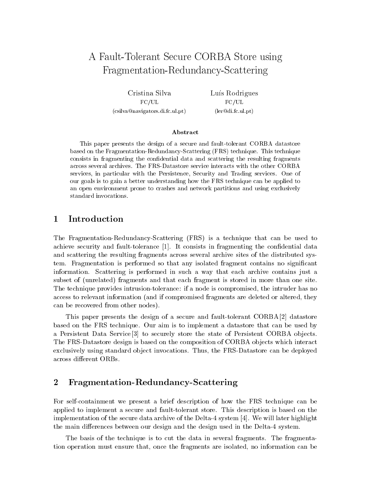# A Fault-Tolerant Secure CORBA Store using Fragmentation-Redundancy-Scattering

Cristina SilvaFC/UL(csilva@navigators.di.fc.ul.pt) Luís Rodrigues FC/UL(ler@di.fc.ul.pt)

### Abstract

This paper presents the design of a secure and fault-tolerant CORBA datastore based on the Fragmentation-Redundancy-Scattering (FRS) technique. This technique consists in fragmenting the condential data and scattering the resulting fragments across several archives. The FRS-Datastore service interacts with the other CORBA services, in particular with the Persistence, Security and Trading services. One of our goals is to gain a better understanding how the FRS technique can be applied to an open environment prone to crashes and network partitions and using exclusively standard invocations.

#### 1 Introduction 1

The Fragmentation-Redundancy-Scattering (FRS) is a technique that can be used to achieve security and fault-tolerance [1]. It consists in fragmenting the confidential data and scattering the resulting fragments across several archive sites of the distributed system. Fragmentation is performed so that any isolated fragment contains no signicant information. Scattering is performed in such a way that each archive contains just a subset of (unrelated) fragments and that each fragment is stored in more than one site. The technique provides intrusion-tolerance: if a node is compromised, the intruder has no access to relevant information (and if compromised fragments are deleted or altered, they can be recovered from other nodes).

This paper presents the design of a secure and fault-tolerant CORBA [2] datastore based on the FRS technique. Our aim is to implement a datastore that can be used by a Persistent Data Service [3] to securely store the state of Persistent CORBA objects. The FRS-Datastore design is based on the composition of CORBA ob jects which interact exclusively using standard object invocations. Thus, the FRS-Datastore can be deployed across different ORBs.

#### 2Fragmentation-Redundancy-Scattering

For self-containment we present a brief description of how the FRS technique can be applied to implement a secure and fault-tolerant store. This description is based on the implementation of the secure data archive of the Delta-4 system [4]. We will later highlight the main differences between our design and the design used in the Delta-4 system.

The basis of the technique is to cut the data in several fragments. The fragmentation operation must ensure that, once the fragments are isolated, no information can be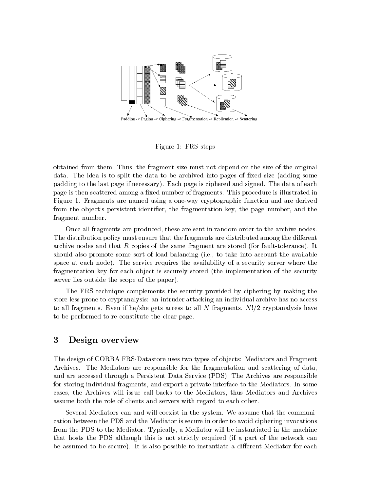

Figure 1: FRS steps

obtained from them. Thus, the fragment size must not depend on the size of the original data. The idea is to split the data to be archived into pages of fixed size (adding some padding to the last page if necessary). Each page is ciphered and signed. The data of each page is then scattered among a fixed number of fragments. This procedure is illustrated in Figure 1. Fragments are named using a one-way cryptographic function and are derived from the object's persistent identifier, the fragmentation key, the page number, and the fragment number.

Once all fragments are produced, these are sent in random order to the archive nodes. The distribution policy must ensure that the fragments are distributed among the different archive nodes and that  $R$  copies of the same fragment are stored (for fault-tolerance). It should also promote some sort of load-balancing (i.e., to take into account the available space at each node). The service requires the availability of a security server where the fragmentation key for each object is securely stored (the implementation of the security server lies outside the scope of the paper).

The FRS technique complements the security provided by ciphering by making the store less prone to cryptanalysis: an intruder attacking an individual archive has no access to all fragments. Even if he/she gets access to all N fragments,  $N!/2$  cryptanalysis have to be performed to re-constitute the clear page.

#### 3Design overview

The design of CORBA FRS-Datastore uses two types of ob jects: Mediators and Fragment Archives. The Mediators are responsible for the fragmentation and scattering of data, and are accessed through a Persistent Data Service (PDS). The Archives are responsible for storing individual fragments, and export a private interface to the Mediators. In some cases, the Archives will issue call-backs to the Mediators, thus Mediators and Archives assume both the role of clients and servers with regard to each other.

Several Mediators can and will coexist in the system. We assume that the communication between the PDS and the Mediator is secure in order to avoid ciphering invocations from the PDS to the Mediator. Typically, a Mediator will be instantiated in the machine that hosts the PDS although this is not strictly required (if a part of the network can be assumed to be secure). It is also possible to instantiate a different Mediator for each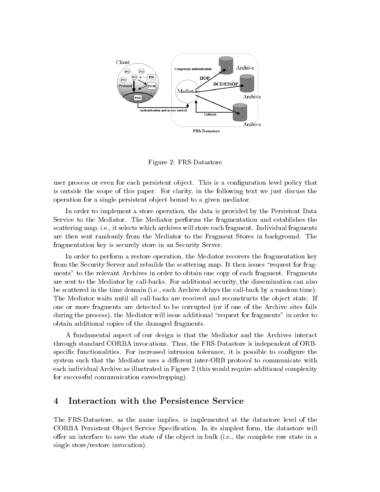

Figure 2: FRS-Datastore

user process or even for each persistent object. This is a configuration level policy that is outside the scope of this paper. For clarity, in the following text we just discuss the operation for a single persistent ob ject bound to a given mediator.

In order to implement a store operation, the data is provided by the Persistent Data Service to the Mediator. The Mediator performs the fragmentation and establishes the scattering map, i.e., it selects which archives will store each fragment. Individual fragments are then sent randomly from the Mediator to the Fragment Stores in background. The fragmentation key is securely store in an Security Server.

In order to perform a restore operation, the Mediator recovers the fragmentation key from the Security Server and rebuilds the scattering map. It then issues "request for fragments" to the relevant Archives in order to obtain one copy of each fragment. Fragments are sent to the Mediator by call-backs. For additional security, the dissemination can also be scattered in the time domain (i.e., each Archive delays the call-back by a random time). The Mediator waits until all call-backs are received and reconstructs the object state. If one or more fragments are detected to be corrupted (or if one of the Archive sites fails during the process), the Mediator will issue additional "request for fragments" in order to obtain additional copies of the damaged fragments.

A fundamental aspect of our design is that the Mediator and the Archives interact through standard CORBA invocations. Thus, the FRS-Datastore is independent of ORBspecific functionalities. For increased intrusion tolerance, it is possible to configure the system such that the Mediator uses a different inter-ORB protocol to communicate with each individual Archive as illustrated in Figure 2 (this would require additional complexity for successful communication eavesdropping).

### Interaction with the Persistence Service  $\overline{\mathbf{4}}$

The FRS-Datastore, as the name implies, is implemented atthe datastore level of the CORBA Persistent Object Service Specification. In its simplest form, the datastore will offer an interface to save the state of the object in bulk (i.e., the complete raw state in a single store/restore invocation).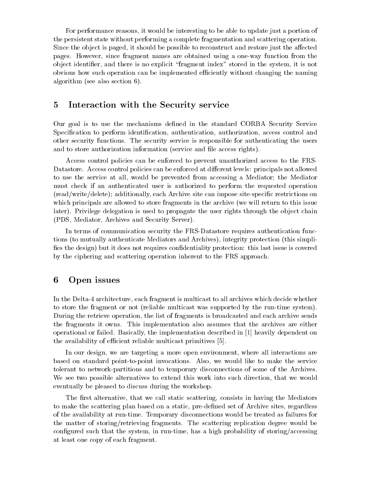For performance reasons, it would be interesting to be able to update just a portion of the persistent state without performing a complete fragmentation and scattering operation. Since the object is paged, it should be possible to reconstruct and restore just the affected pages. However, since fragment names are obtained using a one-way function from the object identifier, and there is no explicit "fragment index" stored in the system, it is not obvious how such operation can be implemented eciently without changing the naming algorithm (see also section 6).

### Interaction with the Security service

Our goal is to use the mechanisms dened in the standard CORBA Security Service Specification to perform identification, authentication, authorization, access control and other security functions. The security service is responsible for authenticating the users and to store authorization information (service and file access rights).

Access control policies can be enforced to prevent unauthorized access to the FRS-Datastore. Access control policies can be enforced at different levels: principals not allowed to use the service at all, would be prevented from accessing a Mediator; the Mediator must check if an authenticated user is authorized to perform the requested operation (read/write/delete); additionally, each Archive site can impose site-specic restrictions on which principals are allowed to store fragments in the archive (we will return to this issue later). Privilege delegation is used to propagate the user rights through the object chain (PDS, Mediator, Archives and Security Server).

In terms of communication security the FRS-Datastore requires authentication functions (to mutually authenticate Mediators and Archives), integrity protection (this simpli fies the design) but it does not requires confidentiality protection: this last issue is covered by the ciphering and scattering operation inherent to the FRS approach.

#### 6Open issues

In the Delta-4 architecture, each fragment is multicast to all archives which decide whether to store the fragment or not (reliable multicast was supported by the run-time system). During the retrieve operation, the list of fragments is broadcasted and each archive sends the fragments it owns. This implementation also assumes that the archives are either operational or failed. Basically, the implementation described in [1] heavily dependent on the availability of efficient reliable multicast primitives [5].

In our design, we are targeting a more open environment, where all interactions are based on standard point-to-point invocations. Also, we would like to make the service tolerant to network-partitions and to temporary disconnections of some of the Archives. We see two possible alternatives to extend this work into such direction, that we would eventually be pleased to discuss during the workshop.

The first alternative, that we call static scattering, consists in having the Mediators to make the scattering plan based on a static, pre-defined set of Archive sites, regardless of the availability at run-time. Temporary disconnections would be treated as failures for the matter of storing/retrieving fragments. The scattering replication degree would be configured such that the system, in run-time, has a high probability of storing/accessing at least one copy of each fragment.